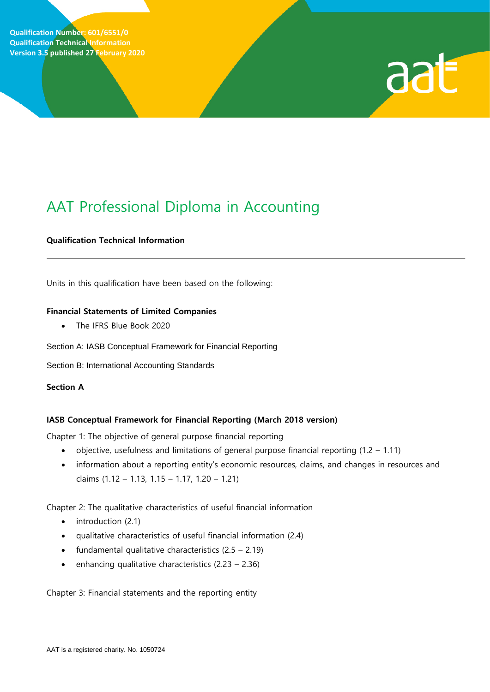

# AAT Professional Diploma in Accounting

# **Qualification Technical Information**

Units in this qualification have been based on the following:

## **Financial Statements of Limited Companies**

• The IFRS Blue Book 2020

Section A: IASB Conceptual Framework for Financial Reporting

Section B: International Accounting Standards

**Section A**

# **IASB Conceptual Framework for Financial Reporting (March 2018 version)**

Chapter 1: The objective of general purpose financial reporting

- objective, usefulness and limitations of general purpose financial reporting (1.2 1.11)
- information about a reporting entity's economic resources, claims, and changes in resources and claims (1.12 – 1.13, 1.15 – 1.17, 1.20 – 1.21)

Chapter 2: The qualitative characteristics of useful financial information

- introduction (2.1)
- qualitative characteristics of useful financial information (2.4)
- fundamental qualitative characteristics  $(2.5 2.19)$
- enhancing qualitative characteristics  $(2.23 2.36)$

Chapter 3: Financial statements and the reporting entity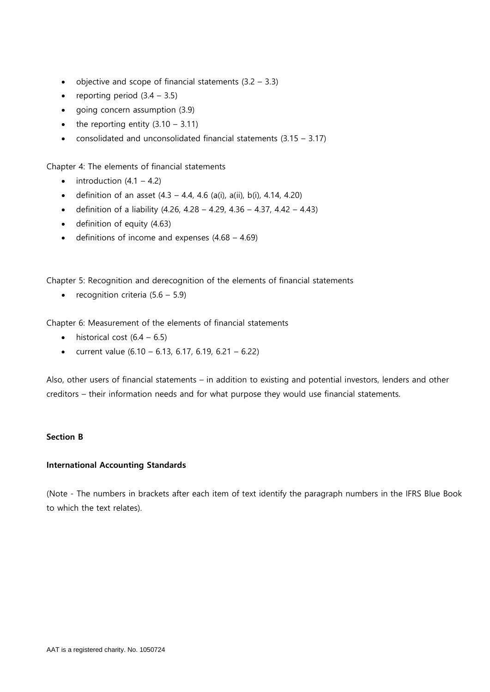- objective and scope of financial statements  $(3.2 3.3)$
- reporting period  $(3.4 3.5)$
- going concern assumption (3.9)
- the reporting entity  $(3.10 3.11)$
- consolidated and unconsolidated financial statements  $(3.15 3.17)$

Chapter 4: The elements of financial statements

- introduction  $(4.1 4.2)$
- definition of an asset  $(4.3 4.4, 4.6$  (a(i), a(ii), b(i), 4.14, 4.20)
- definition of a liability  $(4.26, 4.28 4.29, 4.36 4.37, 4.42 4.43)$
- definition of equity (4.63)
- $\bullet$  definitions of income and expenses  $(4.68 4.69)$

Chapter 5: Recognition and derecognition of the elements of financial statements

• recognition criteria  $(5.6 - 5.9)$ 

Chapter 6: Measurement of the elements of financial statements

- historical cost  $(6.4 6.5)$
- current value  $(6.10 6.13, 6.17, 6.19, 6.21 6.22)$

Also, other users of financial statements – in addition to existing and potential investors, lenders and other creditors – their information needs and for what purpose they would use financial statements.

#### **Section B**

# **International Accounting Standards**

(Note - The numbers in brackets after each item of text identify the paragraph numbers in the IFRS Blue Book to which the text relates).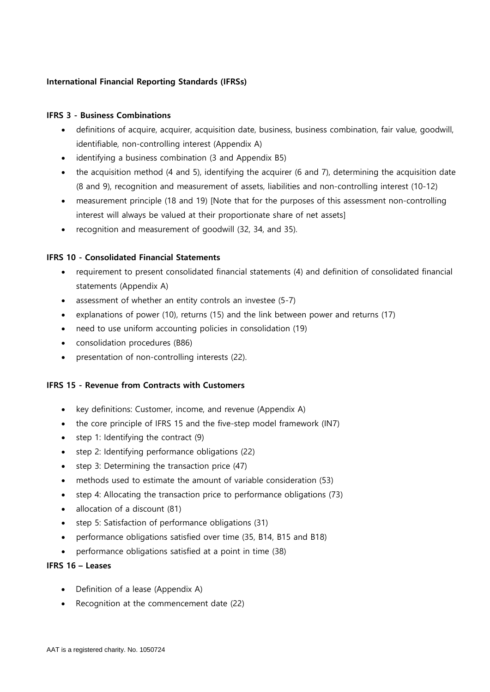# **International Financial Reporting Standards (IFRSs)**

#### **IFRS 3 - Business Combinations**

- definitions of acquire, acquirer, acquisition date, business, business combination, fair value, goodwill, identifiable, non-controlling interest (Appendix A)
- identifying a business combination (3 and Appendix B5)
- the acquisition method (4 and 5), identifying the acquirer (6 and 7), determining the acquisition date (8 and 9), recognition and measurement of assets, liabilities and non-controlling interest (10-12)
- measurement principle (18 and 19) [Note that for the purposes of this assessment non-controlling interest will always be valued at their proportionate share of net assets]
- recognition and measurement of goodwill (32, 34, and 35).

## **IFRS 10 - Consolidated Financial Statements**

- requirement to present consolidated financial statements (4) and definition of consolidated financial statements (Appendix A)
- assessment of whether an entity controls an investee (5-7)
- explanations of power (10), returns (15) and the link between power and returns (17)
- need to use uniform accounting policies in consolidation (19)
- consolidation procedures (B86)
- presentation of non-controlling interests (22).

#### **IFRS 15 - Revenue from Contracts with Customers**

- key definitions: Customer, income, and revenue (Appendix A)
- the core principle of IFRS 15 and the five-step model framework (IN7)
- step 1: Identifying the contract (9)
- step 2: Identifying performance obligations (22)
- step 3: Determining the transaction price (47)
- methods used to estimate the amount of variable consideration (53)
- step 4: Allocating the transaction price to performance obligations (73)
- allocation of a discount (81)
- step 5: Satisfaction of performance obligations (31)
- performance obligations satisfied over time (35, B14, B15 and B18)
- performance obligations satisfied at a point in time (38)

#### **IFRS 16 – Leases**

- Definition of a lease (Appendix A)
- Recognition at the commencement date (22)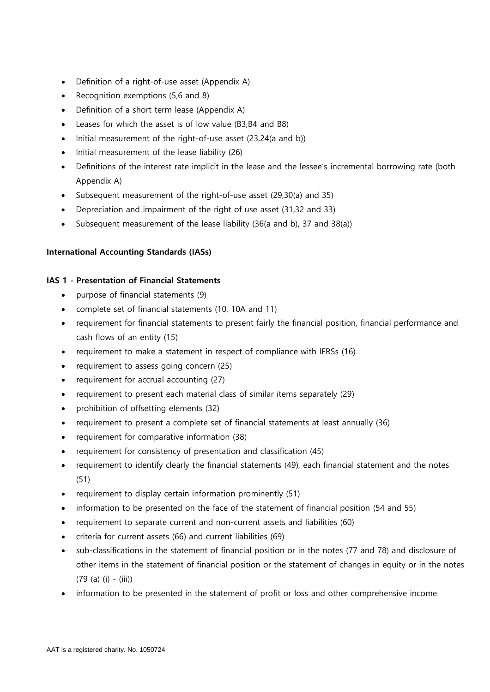- Definition of a right-of-use asset (Appendix A)
- Recognition exemptions (5,6 and 8)
- Definition of a short term lease (Appendix A)
- Leases for which the asset is of low value (B3,B4 and B8)
- Initial measurement of the right-of-use asset (23,24(a and b))
- Initial measurement of the lease liability (26)
- Definitions of the interest rate implicit in the lease and the lessee's incremental borrowing rate (both Appendix A)
- Subsequent measurement of the right-of-use asset (29,30(a) and 35)
- Depreciation and impairment of the right of use asset (31,32 and 33)
- Subsequent measurement of the lease liability (36(a and b), 37 and 38(a))

## **International Accounting Standards (IASs)**

## **IAS 1 - Presentation of Financial Statements**

- purpose of financial statements (9)
- complete set of financial statements (10, 10A and 11)
- requirement for financial statements to present fairly the financial position, financial performance and cash flows of an entity (15)
- requirement to make a statement in respect of compliance with IFRSs (16)
- requirement to assess going concern (25)
- requirement for accrual accounting (27)
- requirement to present each material class of similar items separately (29)
- prohibition of offsetting elements (32)
- requirement to present a complete set of financial statements at least annually (36)
- requirement for comparative information (38)
- requirement for consistency of presentation and classification (45)
- requirement to identify clearly the financial statements (49), each financial statement and the notes (51)
- requirement to display certain information prominently (51)
- information to be presented on the face of the statement of financial position (54 and 55)
- requirement to separate current and non-current assets and liabilities (60)
- criteria for current assets (66) and current liabilities (69)
- sub-classifications in the statement of financial position or in the notes (77 and 78) and disclosure of other items in the statement of financial position or the statement of changes in equity or in the notes  $(79$  (a) (i) - (iii))
- information to be presented in the statement of profit or loss and other comprehensive income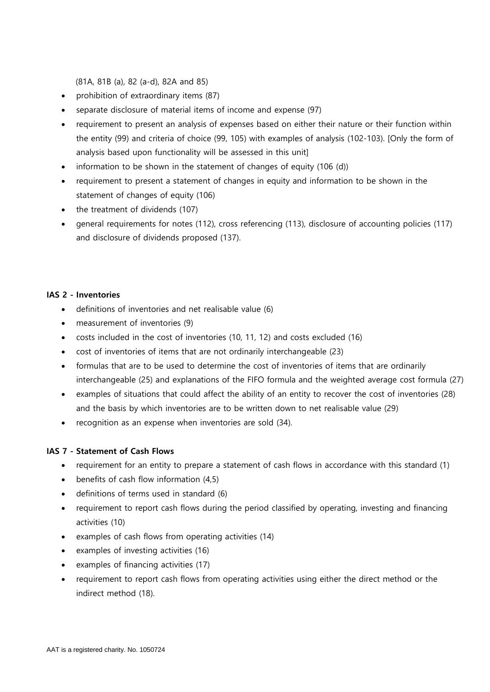(81A, 81B (a), 82 (a-d), 82A and 85)

- prohibition of extraordinary items (87)
- separate disclosure of material items of income and expense (97)
- requirement to present an analysis of expenses based on either their nature or their function within the entity (99) and criteria of choice (99, 105) with examples of analysis (102-103). [Only the form of analysis based upon functionality will be assessed in this unit]
- information to be shown in the statement of changes of equity (106 (d))
- requirement to present a statement of changes in equity and information to be shown in the statement of changes of equity (106)
- the treatment of dividends (107)
- general requirements for notes (112), cross referencing (113), disclosure of accounting policies (117) and disclosure of dividends proposed (137).

# **IAS 2 - Inventories**

- definitions of inventories and net realisable value (6)
- measurement of inventories (9)
- costs included in the cost of inventories (10, 11, 12) and costs excluded (16)
- cost of inventories of items that are not ordinarily interchangeable (23)
- formulas that are to be used to determine the cost of inventories of items that are ordinarily interchangeable (25) and explanations of the FIFO formula and the weighted average cost formula (27)
- examples of situations that could affect the ability of an entity to recover the cost of inventories (28) and the basis by which inventories are to be written down to net realisable value (29)
- recognition as an expense when inventories are sold (34).

# **IAS 7 - Statement of Cash Flows**

- requirement for an entity to prepare a statement of cash flows in accordance with this standard (1)
- benefits of cash flow information (4,5)
- definitions of terms used in standard (6)
- requirement to report cash flows during the period classified by operating, investing and financing activities (10)
- examples of cash flows from operating activities (14)
- examples of investing activities (16)
- examples of financing activities (17)
- requirement to report cash flows from operating activities using either the direct method or the indirect method (18).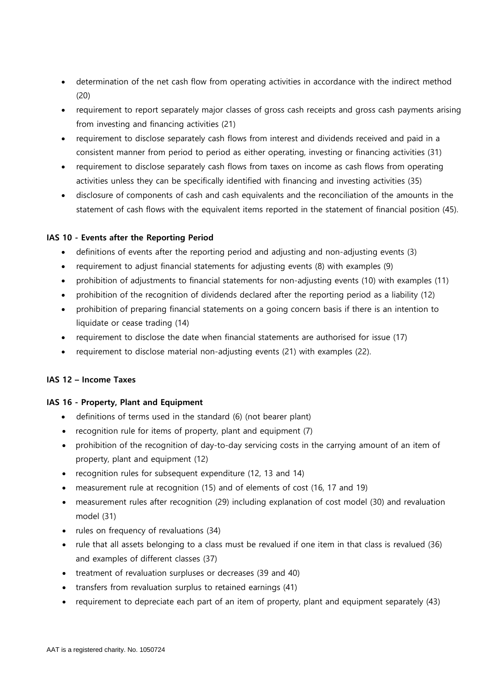- determination of the net cash flow from operating activities in accordance with the indirect method (20)
- requirement to report separately major classes of gross cash receipts and gross cash payments arising from investing and financing activities (21)
- requirement to disclose separately cash flows from interest and dividends received and paid in a consistent manner from period to period as either operating, investing or financing activities (31)
- requirement to disclose separately cash flows from taxes on income as cash flows from operating activities unless they can be specifically identified with financing and investing activities (35)
- disclosure of components of cash and cash equivalents and the reconciliation of the amounts in the statement of cash flows with the equivalent items reported in the statement of financial position (45).

# **IAS 10 - Events after the Reporting Period**

- definitions of events after the reporting period and adjusting and non-adjusting events (3)
- requirement to adjust financial statements for adjusting events (8) with examples (9)
- prohibition of adjustments to financial statements for non-adjusting events (10) with examples (11)
- prohibition of the recognition of dividends declared after the reporting period as a liability (12)
- prohibition of preparing financial statements on a going concern basis if there is an intention to liquidate or cease trading (14)
- requirement to disclose the date when financial statements are authorised for issue (17)
- requirement to disclose material non-adjusting events (21) with examples (22).

# **IAS 12 – Income Taxes**

# **IAS 16 - Property, Plant and Equipment**

- definitions of terms used in the standard (6) (not bearer plant)
- recognition rule for items of property, plant and equipment (7)
- prohibition of the recognition of day-to-day servicing costs in the carrying amount of an item of property, plant and equipment (12)
- recognition rules for subsequent expenditure (12, 13 and 14)
- measurement rule at recognition (15) and of elements of cost (16, 17 and 19)
- measurement rules after recognition (29) including explanation of cost model (30) and revaluation model (31)
- rules on frequency of revaluations (34)
- rule that all assets belonging to a class must be revalued if one item in that class is revalued (36) and examples of different classes (37)
- treatment of revaluation surpluses or decreases (39 and 40)
- transfers from revaluation surplus to retained earnings (41)
- requirement to depreciate each part of an item of property, plant and equipment separately (43)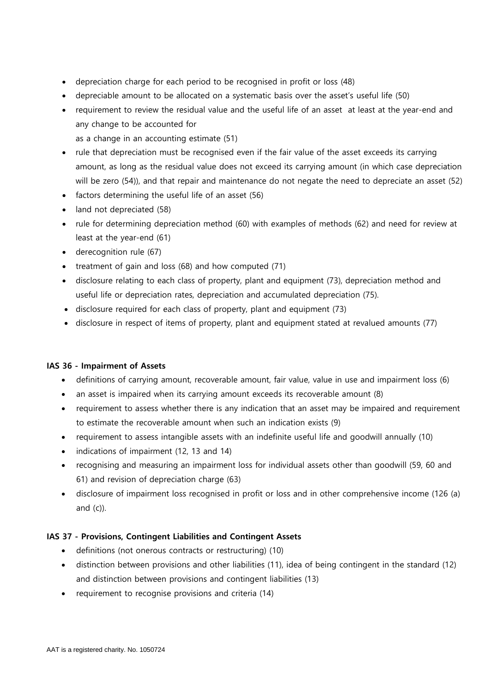- depreciation charge for each period to be recognised in profit or loss (48)
- depreciable amount to be allocated on a systematic basis over the asset's useful life (50)
- requirement to review the residual value and the useful life of an asset at least at the year-end and any change to be accounted for

as a change in an accounting estimate (51)

- rule that depreciation must be recognised even if the fair value of the asset exceeds its carrying amount, as long as the residual value does not exceed its carrying amount (in which case depreciation will be zero (54)), and that repair and maintenance do not negate the need to depreciate an asset (52)
- factors determining the useful life of an asset (56)
- land not depreciated (58)
- rule for determining depreciation method (60) with examples of methods (62) and need for review at least at the year-end (61)
- derecognition rule (67)
- treatment of gain and loss (68) and how computed (71)
- disclosure relating to each class of property, plant and equipment (73), depreciation method and useful life or depreciation rates, depreciation and accumulated depreciation (75).
- disclosure required for each class of property, plant and equipment (73)
- disclosure in respect of items of property, plant and equipment stated at revalued amounts (77)

# **IAS 36 - Impairment of Assets**

- definitions of carrying amount, recoverable amount, fair value, value in use and impairment loss (6)
- an asset is impaired when its carrying amount exceeds its recoverable amount (8)
- requirement to assess whether there is any indication that an asset may be impaired and requirement to estimate the recoverable amount when such an indication exists (9)
- requirement to assess intangible assets with an indefinite useful life and goodwill annually (10)
- indications of impairment (12, 13 and 14)
- recognising and measuring an impairment loss for individual assets other than goodwill (59, 60 and 61) and revision of depreciation charge (63)
- disclosure of impairment loss recognised in profit or loss and in other comprehensive income (126 (a) and  $(c)$ ).

# **IAS 37 - Provisions, Contingent Liabilities and Contingent Assets**

- definitions (not onerous contracts or restructuring) (10)
- distinction between provisions and other liabilities (11), idea of being contingent in the standard (12) and distinction between provisions and contingent liabilities (13)
- requirement to recognise provisions and criteria (14)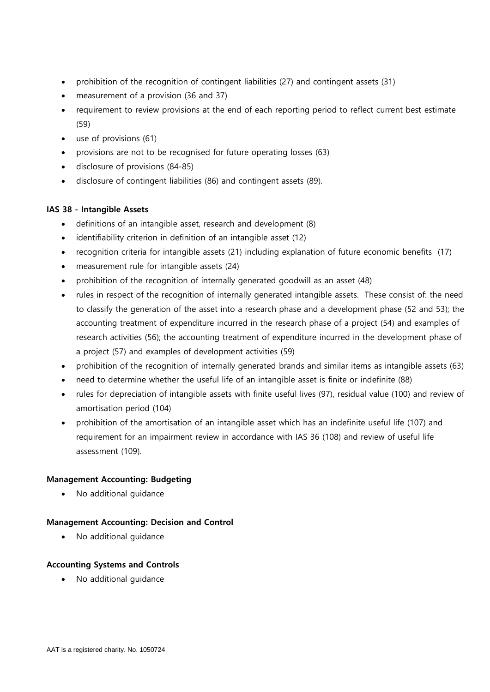- prohibition of the recognition of contingent liabilities (27) and contingent assets (31)
- measurement of a provision (36 and 37)
- requirement to review provisions at the end of each reporting period to reflect current best estimate (59)
- use of provisions (61)
- provisions are not to be recognised for future operating losses (63)
- disclosure of provisions (84-85)
- disclosure of contingent liabilities (86) and contingent assets (89).

# **IAS 38 - Intangible Assets**

- definitions of an intangible asset, research and development (8)
- identifiability criterion in definition of an intangible asset (12)
- recognition criteria for intangible assets (21) including explanation of future economic benefits (17)
- measurement rule for intangible assets (24)
- prohibition of the recognition of internally generated goodwill as an asset (48)
- rules in respect of the recognition of internally generated intangible assets. These consist of: the need to classify the generation of the asset into a research phase and a development phase (52 and 53); the accounting treatment of expenditure incurred in the research phase of a project (54) and examples of research activities (56); the accounting treatment of expenditure incurred in the development phase of a project (57) and examples of development activities (59)
- prohibition of the recognition of internally generated brands and similar items as intangible assets (63)
- need to determine whether the useful life of an intangible asset is finite or indefinite (88)
- rules for depreciation of intangible assets with finite useful lives (97), residual value (100) and review of amortisation period (104)
- prohibition of the amortisation of an intangible asset which has an indefinite useful life (107) and requirement for an impairment review in accordance with IAS 36 (108) and review of useful life assessment (109).

#### **Management Accounting: Budgeting**

• No additional guidance

#### **Management Accounting: Decision and Control**

No additional quidance

#### **Accounting Systems and Controls**

• No additional guidance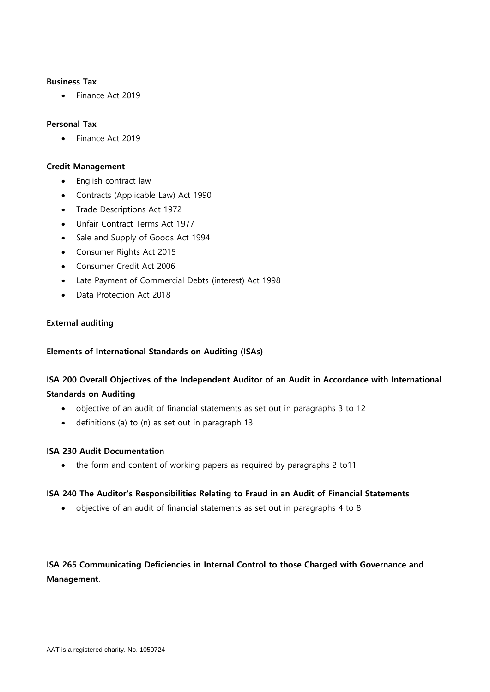#### **Business Tax**

• Finance Act 2019

# **Personal Tax**

• Finance Act 2019

#### **Credit Management**

- English contract law
- Contracts (Applicable Law) Act 1990
- Trade Descriptions Act 1972
- Unfair Contract Terms Act 1977
- Sale and Supply of Goods Act 1994
- Consumer Rights Act 2015
- Consumer Credit Act 2006
- Late Payment of Commercial Debts (interest) Act 1998
- Data Protection Act 2018

#### **External auditing**

#### **Elements of International Standards on Auditing (ISAs)**

# **ISA 200 Overall Objectives of the Independent Auditor of an Audit in Accordance with International Standards on Auditing**

- objective of an audit of financial statements as set out in paragraphs 3 to 12
- definitions (a) to (n) as set out in paragraph 13

#### **ISA 230 Audit Documentation**

• the form and content of working papers as required by paragraphs 2 to 11

#### **ISA 240 The Auditor's Responsibilities Relating to Fraud in an Audit of Financial Statements**

• objective of an audit of financial statements as set out in paragraphs 4 to 8

# **ISA 265 Communicating Deficiencies in Internal Control to those Charged with Governance and Management**.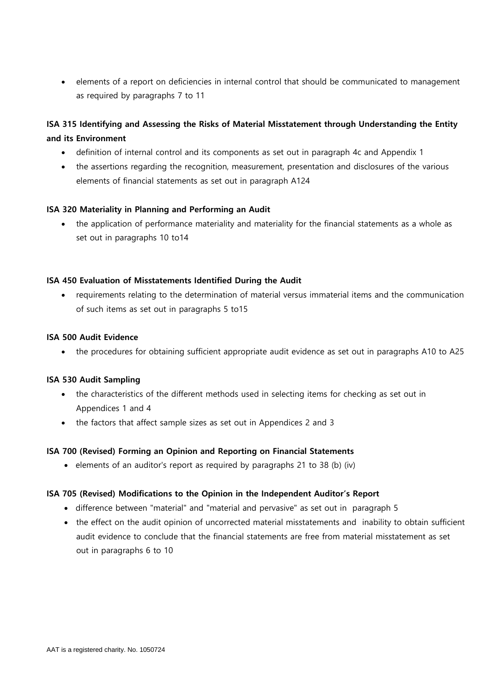• elements of a report on deficiencies in internal control that should be communicated to management as required by paragraphs 7 to 11

# **ISA 315 Identifying and Assessing the Risks of Material Misstatement through Understanding the Entity and its Environment**

- definition of internal control and its components as set out in paragraph 4c and Appendix 1
- the assertions regarding the recognition, measurement, presentation and disclosures of the various elements of financial statements as set out in paragraph A124

# **ISA 320 Materiality in Planning and Performing an Audit**

• the application of performance materiality and materiality for the financial statements as a whole as set out in paragraphs 10 to14

# **ISA 450 Evaluation of Misstatements Identified During the Audit**

• requirements relating to the determination of material versus immaterial items and the communication of such items as set out in paragraphs 5 to15

#### **ISA 500 Audit Evidence**

• the procedures for obtaining sufficient appropriate audit evidence as set out in paragraphs A10 to A25

#### **ISA 530 Audit Sampling**

- the characteristics of the different methods used in selecting items for checking as set out in Appendices 1 and 4
- the factors that affect sample sizes as set out in Appendices 2 and 3

#### **ISA 700 (Revised) Forming an Opinion and Reporting on Financial Statements**

• elements of an auditor's report as required by paragraphs 21 to 38 (b) (iv)

#### **ISA 705 (Revised) Modifications to the Opinion in the Independent Auditor's Report**

- difference between "material" and "material and pervasive" as set out in paragraph 5
- the effect on the audit opinion of uncorrected material misstatements and inability to obtain sufficient audit evidence to conclude that the financial statements are free from material misstatement as set out in paragraphs 6 to 10